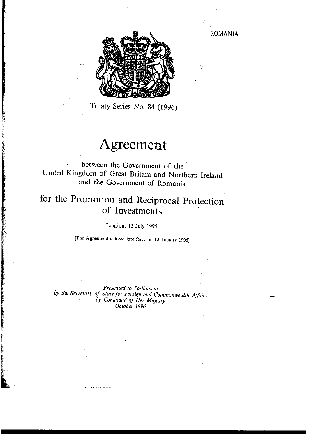ROMANIA



Treaty Series No. 84 (1996)

t -f-

# **Agreement**

between the Government of the United Kingdom of Great Britain and Northern Ireland and the Government of Romania

# **for the Promotion and Reciprocal Protection of Investments**

London, 13 July 1995

[The Agreement entered into force on 10 January 1996J

*Presented to Parliament* 

*by the Secretary of Slale for Foreign and Commonwealth Affairs by Command of Her Majesty October 1996*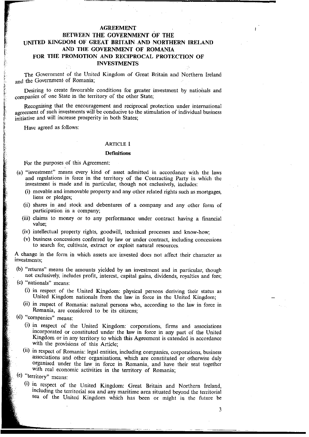# **AGREEMENT BETWEEN THE GOVERNMENT OF THE**

# **UNITED KINGDOM OF GREAT** BRITAIN AND **NORTHERN IRELAND AND THE GOVERNMENT OF ROMANIA FOR THE PROMOTION AND RECIPROCAL PROTECTION OF INVESTMENTS**

The Government of the United Kingdom of Great Britain and Northern Ireland and the Government of Romania;

Desiring to create favourable conditions for greater investment by nationals and companies of one State in the territory of the other State;

Recognising that the encouragement and reciprocal protection under international agreement of such investments will be conducive to the stimulation of individual business initiative and will increase prosperity in both States:

Have agreed as follows:

#### ARTICLE I

#### **Definitions**

For the purposes of this Agreement:

- (a) "investment" means every kind of asset admitted in accordance with the laws and regulations in force in the territory of the Contracting Party in which the investment is made and in particular, though not exclusively, includes:
	- (i) movable and immovable property and any other related rights such as mortgages, liens or pledges;
	- (ii) shares in and stock and debentures of a company and any other form of participation in a company;
	- (iii) claims to money or to any performance under contract having a financial **value;**
	- (iv) intellectual property rights, goodwill, technical processes and know-how;
	- (v) business concessions conferred by law or under contract, including concessions to search for, cultivate, extract or exploit natural resources.

A change in the form in which assets are invested does not affect their character as **investments;** 

(b) "returns" means the amounts yielded by an investment and in particular, though not exclusively, includes profit, interest, capital gains, dividends, royalties and fees;

- (c) "nationals" means:
	- (i) in respect of the United Kingdom: physical persons deriving their status as United Kingdom nationals from the law in force in the United Kingdom;
	- (ii) in respect of Romania: natural persons who, according to the law in force in Romania, are considered to be its citizens;
- (d) "companies" means:
	- $(i)$  in respect of the United Kingdom: corporations, firms and associations incorporated or constituted under the law in force in any part of the United Kingdom or in any territory to which this Agreement is extended in accordance with the provisions of this Article;
	- (ii) in respect of Romania: legal entities, including companies, corporations, business associations and other organisations, which are constituted or otherwise duly organised under the law in force in Romania, and have their seat together with real economic activities in the territory of Romania;
- (e) "territory" means:
	- (i) !n respect of the United Kingdom: Great Britain and Northern Ireland, mcludmg the territorial sea and any maritime area situated beyond the territorial sea of the United Kingdom which has been or might in the future be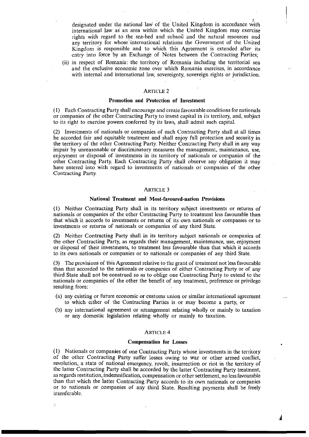designated under the national law of the United Kingdom in accordance with international law as an area within which the United Kingdom may exercise rights with regard to the sea-bed and subsoil and the natural resources and any territory for whose' international relations the Government of the United Kingdom is responsible and to which this Agreement is extended after its entry into force by an Exchange of Notes between the Contracting Parties;

(ii) in respect of Romania: the territory of Romania including the territorial sea and the exclusive economic zone over which Romania exercises, in accordance with internal and international law, sovereignty, sovereign rights or jurisdiction.

#### ARTICLE 2

#### Promotion and Protection of Investment

(I) Each Contracting Party shall encourage and create favourable conditions for nationals or companies of the other Contracting Party to invest capital in its territory, and, subject to its right to exercise powers conferred by its laws, shall admit such capitaL

(2) Investments of nationals or companies of each Contracting Party shall at all times be accorded fair and equitable treatment and shall enjoy full protection and security in the territory of the other Contracting Party. Neither Contracting Party shall in any way impair by unreasonable or discriminatory measures the management, maintenance, use, enjoyment or disposal of investments in its territory of nationals or companies of the other Contracting Party, Each Contracting Party shall observe any obligation it may have entered into with regard to investments of nationals or companies of the other Contracting Party.

#### ARTICLE 3

#### National Treatment and Most-favoured-nation Provisions

(I) Neither Contracting Party shaH in its territory subject investments or returns of nationals or companies of the other Contracting Party to treatment less favourable than that which it accords to investments or returns of its own nationals or companies or to investments or returns of nationals or companies of any third State.

(2) Neither Contracting Party shall in its territory subject nationals or companies of the other Contracting Party, as regards their management, maintenance, use, enjoyment or disposal of their investments, to treatment less favourable than that which it accords to its own nationals or companies or to nationals or companies of any third State.

(3) The provisions of this Agreement relative to the grant of treatment not less favourable than that accorded to the nationals or companies of either Contracting Party or of any third State shall not be construed so as to oblige one Contracting Party to extend to the nationals or companies of the other the benefit of any treatment, preference or privilege resulting from:

- (a) any existing or future economic or customs union or similar international agreement to which either of the Contracting Parties is or may become a party, or
- (b) any international agreement or arrangement relating wholly or mainly to taxation or any domestic legislation relating wholly or mainly to taxation.

# ARTICLE 4

#### Compensation for Losses

(I) Nationals or companies of one Contracting Party whose investments in the territory of the other Contracting Party suffer losses owing to war or other armed conflict, revolution, a state of national emergency, revolt, insurrection or riot in the territory of the latter Contracting Party shall be accorded by the latter Contracting Party treatment, as regards restitution, indemnification, compensation or other settlement, no less favourable than that which the latter Contracting Party accords to its own nationals or companies or to nationals or companies of any third State. Resulting payments shall be freely transferable.

ś.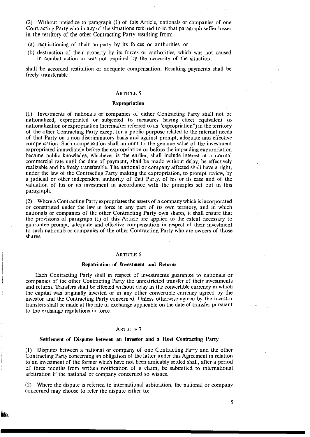(2) Without prejudice to paragraph (I) of this Article, nationals or companies of one Contracting Party who in any of the situations referred to in that paragraph suffer losses in the territory of the other Contracting Party resulting from:

- (a) requisitioning of their property by its forces or authorities, or
- (b) destruction of their property by its forces Or authorities, which was not caused in combat action or was not required by the necessity of the situation,

shall be accorded restitution or adequate compensation. Resulting payments shall be freely transferable.

#### ARTICLE 5

#### Expropriation

(1) Investments of nationals or companies of either Contracting Party shall not be nationalized, expropriated or subjected to measures having effect equivalent to nationalization or expropriation (hereinafter referred to as "expropriation") in the territory of the other Contracting Party except for a public purpose related to the internal needs of that Party on a non-discriminatory basis and against prompt, adequate and effective compensation. Such compensation shall amount to the genuine value of the investment expropriated immediately before the expropriation or before the impending expropriation became public knowledge, whichever is the earlier, shall include interest at a normal commercial rate until the date of payment, shall be made without delay, be effectively realizable and be freely transferable. The national or company affected shall have a right, under the law of the Contracting Party making the expropriation, to prompt review, by a judicial or other independent authority of that Party, of his or its case and of the valuation of his or its investment in accordance with the principles set out in this paragraph.

(2) Where a Contracting Party expropriates the assets of a company which is incorporated or constituted under the law in force in any part of its own territory, and in which nationals or companies of the other Contracting Party own shares, it shall ensure that the provisions of paragraph (1) of this Article are applied to the extent necessary to guarantee prompt, adequate and effective compensation in respect of their investment to such nationals or companies of the other Contracting Party who are owners of those shares.

#### ARTICLE 6

#### Repatriation of Investment and Returns

Each Contracting Party shall in respect of investments guarantee to nationals or companies of the other Contracting Party the unrestricted transfer of their investments and returns. Transfers shall be effected without delay in the convertible currency in which the capital was originally invested or in any other convertible currency agreed by the investor and the Contracting Party concerned. Unless otherwise agreed by the investor transfers shall be made at the rate of exchange applicable on the date of transfer pursuant to the exchange regulations in force.

#### ARTICLE 7

#### Settlement of Disputes between an Investor and a Host Contracting Party

(I) Disputes between a national or company of one Contracting Party and the other Contracting Party concerning an obligation of the latter under this Agreement in relation to an investment of the former which have not been amicably settled shall, after a period of three months from written notification of a claim, be submitted to international arbitration if the national or company concerned so wishes.

(2) Where the dispute is referred to international arbitration, the national or company concerned may choose to refer the dispute either to: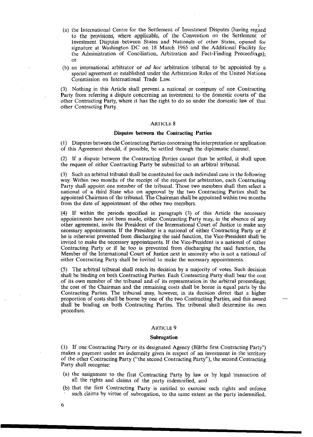- (a) the International Centre for the Settlement of Investment Disputes (having regard to the provisions, where applicable, of the Convention on the Settlement of Investment Disputes between States and Nationals of other States, opened for signature at Washington DC on 18 March 1965 and the Additional Facility for the Administration of Conciliation, Arbitration and Fact-Finding Proceedings); or
- (b) an international arbitrator or *ad hoc* arbitration tribunal to be appointed by a special agreement or established under the Arbitration Rules of the United Nations Commission on International Trade Law.

(3) Nothing in this Article shall prevent a national or company of one Contracting Party from referring a dispute concerning an investment to the domestic courts of the other Contracting Party, where it has the right to do so under the domestic law of that other Contracting Party.

# ARTICLE 8

#### Disputes between the Contracting Parties

(I) Disputes between the Contracting Parties concerning the interpretation or application of this Agreement should, if possible, be settled through the diplomatic channel.

(2) If a dispute between the Contracting Parties cannot thus be settled, it shall upon the request of either Contracting Party be submitted to an arbitral tribunal.

(3) Such an arbitral tribunal shall be constituted for each individual case in the following way. Within two months of the receipt of the request for arbitration, each Contracting Party shall appoint one member of the tribunal. Those two members shall then select a national of a third State who on approval by the two Contracting Parties shall be appointed Chairman of the tribunal. The Chairman shall be appointed within two months from the date of appointment of the other two members.

(4) If within the periods specified in paragraph (3) of this Article the necessary appointments have not been made, either Contracting Party may, in the absence of any other agreement, invite the President of the International Court of Justice to make any necessary appointments. If the President is a national of either Contracting Party or if he is otherwise prevented from discharging the said function, the Vice-President shall be invited to make the necessary appointments. If the Vice-President is a national of either Contracting Party or if he too is prevented from discharging the said function, the Member of the International Court of Justice next in seniority who is not a national of either Contracting Party shall be invited to make the necessary appointments.

(5) The arbitral tribunal shall reach its decision by a majority of votes. Such decision shall be binding on both Contracting Parties. Each Contracting Party shall bear the cost of its own member of the tribunal and of its representation in the arbitral proceedings; the cost of the Chairman and the remaining costs shall be borne in equal parts by the Contracting Parties. The tribunal may, however, in its decision direct that a higher proportion of costs shall be borne by one of the two Contracting Parties, and this award shall be binding on both Contracting Parties. The tribunal shall determine its own procedure.

#### ARTICLE 9

#### Subrogation

(\) If one Contracting Party or its designated Agency (BBthe first Contracting Party") makes a payment under an indemnity given in respect of an investment in the territory of the other Contracting Party ("the second Contracting Party"), the second Contracting Party shall recognise:

- (a) the assignment to the first Contracting Party by law or by legal transaction of all the rights and claims of the party indemnified, and
- (b) that the first Contracting Party is entitled to exercise such rights and enforce such claims by virtue of subrogation, to the same extent as the party indemnified.

6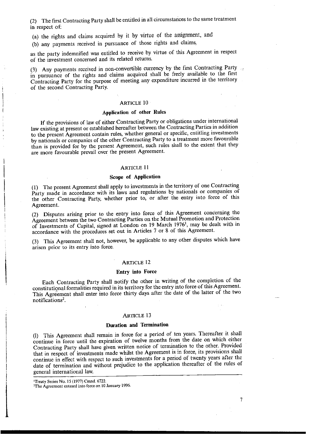(2) The first Contracting Party shall be entitled in all circumstances to the same treatment in respect of:

(a) the rights and claims acquired by it by virtue of the assignment, and

(b) any payments received in pursuance of those rights and claims,

as the party indemnified was entitled to receive by virtue of this Agreement in respect of the investment concerned and its related returns.

(3) Any payments received in non-convertible currency by the first Contracting Party in pursuance of the rights and claims acquired shall be freely available to the first Contracting Party for the purpose of meeting any expenditure incurred in the territory of the second Contracting Party.

# **ARTICLE 10**

# **Application of other Rules**

**If** the provisions of law of either Contracting Party or obligations under international law existing at present or established hereafter between the Contracting Parties in addition to the present Agreement contain rules, whether general or specific, entitling investments by nationals or companies of the other Contracting Party to a treatment more favourable than is provided for by the present Agreement, such rules shall to the extent that they are more favourable prevail over the present Agreement.

#### ARTICLE II

#### **Scope of Application**

(I) The present Agreement shall apply to investments in the territory of one Contracting Party made in accordance with its laws and regulations by nationals or companies of the other Contracting Party, whether prior to, or after the entry into force of this Agreement.

(2) Disputes arising prior to the entry into force of this Agreement concerning the Agreement between the two Contracting Parties on the Mutual Promotion and Protection of Investments of Capital, signed at London on 19 March 1976', may be dealt with in accordance with the procedures set out in Articles 7 or 8 of this Agreement.

(3) This Agreement shall not, however, be applicable to any other disputes which have arisen prior to its entry into force.

#### ARTICLE 12

#### **Entry into Force**

Each Contracting Party shall notify the other in writing of the completion of the constitutignal formalities required in its territory for the entry into force of this Agreement. This Agreement shall enter into force thirty days after the date of the latter of the two notifications<sup>2</sup>.

#### ARTICLE 13

# **Duration and Termination**

(I) This Agreement shall remain in force for a period of ten years. Thereafter it shall continue in force until the expiration of twelve months from the date on which either Contracting Party shall have given written notice of termination to the other. Provided that in respect of investments made whilst the Agreement is in force, its provisions shall continue in effect with respect to such investments for a period of twenty years after the date of termination and without prejudice to the application thereafter of the rules of general international law.

**<sup>&#</sup>x27;Treaty Series No. 15 (1977) Cmnd. 6722. 2The Agreement entered into force on to January 1996.**